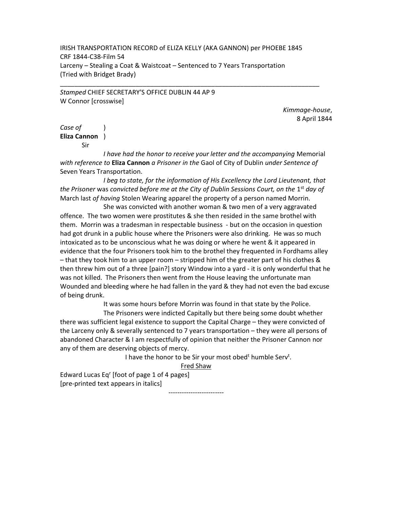IRISH TRANSPORTATION RECORD of ELIZA KELLY (AKA GANNON) per PHOEBE 1845 CRF 1844-C38-Film 54 Larceny – Stealing a Coat & Waistcoat – Sentenced to 7 Years Transportation (Tried with Bridget Brady)

\_\_\_\_\_\_\_\_\_\_\_\_\_\_\_\_\_\_\_\_\_\_\_\_\_\_\_\_\_\_\_\_\_\_\_\_\_\_\_\_\_\_\_\_\_\_\_\_\_\_\_\_\_\_\_\_\_\_\_\_\_\_\_\_\_\_\_\_\_\_\_\_

Stamped CHIEF SECRETARY'S OFFICE DUBLIN 44 AP 9 W Connor [crosswise]

> Kimmage-house, 8 April 1844

Case of (1) Eliza Cannon )

Sir

 I have had the honor to receive your letter and the accompanying Memorial with reference to Eliza Cannon a Prisoner in the Gaol of City of Dublin under Sentence of Seven Years Transportation.

 I beg to state, for the information of His Excellency the Lord Lieutenant, that the Prisoner was convicted before me at the City of Dublin Sessions Court, on the 1<sup>st</sup> day of March last of having Stolen Wearing apparel the property of a person named Morrin.

 She was convicted with another woman & two men of a very aggravated offence. The two women were prostitutes & she then resided in the same brothel with them. Morrin was a tradesman in respectable business - but on the occasion in question had got drunk in a public house where the Prisoners were also drinking. He was so much intoxicated as to be unconscious what he was doing or where he went & it appeared in evidence that the four Prisoners took him to the brothel they frequented in Fordhams alley – that they took him to an upper room – stripped him of the greater part of his clothes & then threw him out of a three [pain?] story Window into a yard - it is only wonderful that he was not killed. The Prisoners then went from the House leaving the unfortunate man Wounded and bleeding where he had fallen in the yard & they had not even the bad excuse of being drunk.

It was some hours before Morrin was found in that state by the Police.

 The Prisoners were indicted Capitally but there being some doubt whether there was sufficient legal existence to support the Capital Charge – they were convicted of the Larceny only & severally sentenced to 7 years transportation – they were all persons of abandoned Character & I am respectfully of opinion that neither the Prisoner Cannon nor any of them are deserving objects of mercy.

I have the honor to be Sir your most obed<sup>t</sup> humble Serv<sup>t</sup>.

Fred Shaw

Edward Lucas Eq<sup>r</sup> [foot of page 1 of 4 pages] [pre-printed text appears in italics]

-------------------------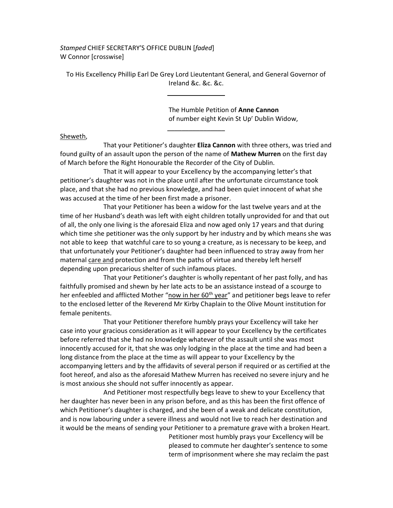Stamped CHIEF SECRETARY'S OFFICE DUBLIN [faded] W Connor [crosswise]

To His Excellency Phillip Earl De Grey Lord Lieutentant General, and General Governor of Ireland &c. &c. &c.

 $\frac{1}{2}$ 

 The Humble Petition of Anne Cannon of number eight Kevin St Up' Dublin Widow,

Sheweth,

That your Petitioner's daughter Eliza Cannon with three others, was tried and found guilty of an assault upon the person of the name of Mathew Murren on the first day of March before the Right Honourable the Recorder of the City of Dublin.

\_\_\_\_\_\_\_\_\_\_\_\_\_\_\_\_

 That it will appear to your Excellency by the accompanying letter's that petitioner's daughter was not in the place until after the unfortunate circumstance took place, and that she had no previous knowledge, and had been quiet innocent of what she was accused at the time of her been first made a prisoner.

 That your Petitioner has been a widow for the last twelve years and at the time of her Husband's death was left with eight children totally unprovided for and that out of all, the only one living is the aforesaid Eliza and now aged only 17 years and that during which time she petitioner was the only support by her industry and by which means she was not able to keep that watchful care to so young a creature, as is necessary to be keep, and that unfortunately your Petitioner's daughter had been influenced to stray away from her maternal care and protection and from the paths of virtue and thereby left herself depending upon precarious shelter of such infamous places.

 That your Petitioner's daughter is wholly repentant of her past folly, and has faithfully promised and shewn by her late acts to be an assistance instead of a scourge to her enfeebled and afflicted Mother "now in her  $60<sup>th</sup>$  year" and petitioner begs leave to refer to the enclosed letter of the Reverend Mr Kirby Chaplain to the Olive Mount institution for female penitents.

 That your Petitioner therefore humbly prays your Excellency will take her case into your gracious consideration as it will appear to your Excellency by the certificates before referred that she had no knowledge whatever of the assault until she was most innocently accused for it, that she was only lodging in the place at the time and had been a long distance from the place at the time as will appear to your Excellency by the accompanying letters and by the affidavits of several person if required or as certified at the foot hereof, and also as the aforesaid Mathew Murren has received no severe injury and he is most anxious she should not suffer innocently as appear.

 And Petitioner most respectfully begs leave to shew to your Excellency that her daughter has never been in any prison before, and as this has been the first offence of which Petitioner's daughter is charged, and she been of a weak and delicate constitution, and is now labouring under a severe illness and would not live to reach her destination and it would be the means of sending your Petitioner to a premature grave with a broken Heart.

> Petitioner most humbly prays your Excellency will be pleased to commute her daughter's sentence to some term of imprisonment where she may reclaim the past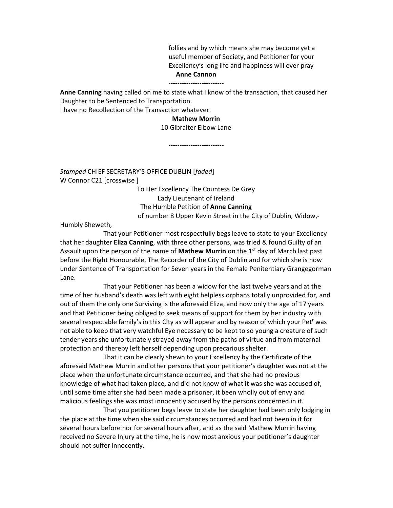follies and by which means she may become yet a useful member of Society, and Petitioner for your Excellency's long life and happiness will ever pray Anne Cannon

## -------------------------

Anne Canning having called on me to state what I know of the transaction, that caused her Daughter to be Sentenced to Transportation.

I have no Recollection of the Transaction whatever.

## Mathew Morrin

## 10 Gibralter Elbow Lane

-------------------------

Stamped CHIEF SECRETARY'S OFFICE DUBLIN [faded] W Connor C21 [crosswise ]

> To Her Excellency The Countess De Grey Lady Lieutenant of Ireland The Humble Petition of Anne Canning of number 8 Upper Kevin Street in the City of Dublin, Widow,-

Humbly Sheweth,

 That your Petitioner most respectfully begs leave to state to your Excellency that her daughter Eliza Canning, with three other persons, was tried & found Guilty of an Assault upon the person of the name of **Mathew Murrin** on the 1<sup>st</sup> day of March last past before the Right Honourable, The Recorder of the City of Dublin and for which she is now under Sentence of Transportation for Seven years in the Female Penitentiary Grangegorman Lane.

 That your Petitioner has been a widow for the last twelve years and at the time of her husband's death was left with eight helpless orphans totally unprovided for, and out of them the only one Surviving is the aforesaid Eliza, and now only the age of 17 years and that Petitioner being obliged to seek means of support for them by her industry with several respectable family's in this City as will appear and by reason of which your Pet<sup>r</sup> was not able to keep that very watchful Eye necessary to be kept to so young a creature of such tender years she unfortunately strayed away from the paths of virtue and from maternal protection and thereby left herself depending upon precarious shelter.

 That it can be clearly shewn to your Excellency by the Certificate of the aforesaid Mathew Murrin and other persons that your petitioner's daughter was not at the place when the unfortunate circumstance occurred, and that she had no previous knowledge of what had taken place, and did not know of what it was she was accused of, until some time after she had been made a prisoner, it been wholly out of envy and malicious feelings she was most innocently accused by the persons concerned in it.

 That you petitioner begs leave to state her daughter had been only lodging in the place at the time when she said circumstances occurred and had not been in it for several hours before nor for several hours after, and as the said Mathew Murrin having received no Severe Injury at the time, he is now most anxious your petitioner's daughter should not suffer innocently.